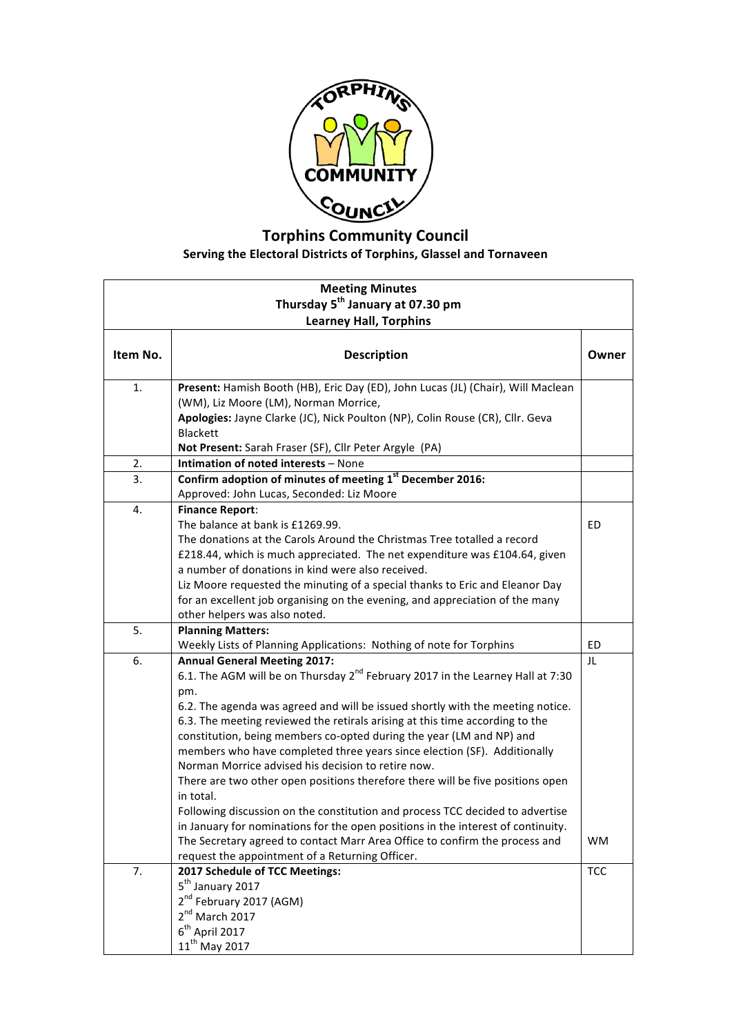

## **Torphins Community Council** Serving the Electoral Districts of Torphins, Glassel and Tornaveen

| <b>Meeting Minutes</b>                       |                                                                                                                                                                                                                                                                                                                                                                                                                                                                                                                                                                                                                                                                                                                                                                                                                                                                                                                            |                 |  |  |
|----------------------------------------------|----------------------------------------------------------------------------------------------------------------------------------------------------------------------------------------------------------------------------------------------------------------------------------------------------------------------------------------------------------------------------------------------------------------------------------------------------------------------------------------------------------------------------------------------------------------------------------------------------------------------------------------------------------------------------------------------------------------------------------------------------------------------------------------------------------------------------------------------------------------------------------------------------------------------------|-----------------|--|--|
| Thursday 5 <sup>th</sup> January at 07.30 pm |                                                                                                                                                                                                                                                                                                                                                                                                                                                                                                                                                                                                                                                                                                                                                                                                                                                                                                                            |                 |  |  |
|                                              | <b>Learney Hall, Torphins</b>                                                                                                                                                                                                                                                                                                                                                                                                                                                                                                                                                                                                                                                                                                                                                                                                                                                                                              |                 |  |  |
| Item No.                                     | <b>Description</b>                                                                                                                                                                                                                                                                                                                                                                                                                                                                                                                                                                                                                                                                                                                                                                                                                                                                                                         | Owner           |  |  |
| 1.                                           | Present: Hamish Booth (HB), Eric Day (ED), John Lucas (JL) (Chair), Will Maclean<br>(WM), Liz Moore (LM), Norman Morrice,<br>Apologies: Jayne Clarke (JC), Nick Poulton (NP), Colin Rouse (CR), Cllr. Geva<br><b>Blackett</b><br>Not Present: Sarah Fraser (SF), Cllr Peter Argyle (PA)                                                                                                                                                                                                                                                                                                                                                                                                                                                                                                                                                                                                                                    |                 |  |  |
| 2.                                           | Intimation of noted interests - None                                                                                                                                                                                                                                                                                                                                                                                                                                                                                                                                                                                                                                                                                                                                                                                                                                                                                       |                 |  |  |
| 3.                                           | Confirm adoption of minutes of meeting 1st December 2016:<br>Approved: John Lucas, Seconded: Liz Moore                                                                                                                                                                                                                                                                                                                                                                                                                                                                                                                                                                                                                                                                                                                                                                                                                     |                 |  |  |
| 4.                                           | <b>Finance Report:</b><br>The balance at bank is £1269.99.<br>The donations at the Carols Around the Christmas Tree totalled a record<br>£218.44, which is much appreciated. The net expenditure was £104.64, given<br>a number of donations in kind were also received.<br>Liz Moore requested the minuting of a special thanks to Eric and Eleanor Day<br>for an excellent job organising on the evening, and appreciation of the many<br>other helpers was also noted.                                                                                                                                                                                                                                                                                                                                                                                                                                                  | ED              |  |  |
| 5.                                           | <b>Planning Matters:</b><br>Weekly Lists of Planning Applications: Nothing of note for Torphins                                                                                                                                                                                                                                                                                                                                                                                                                                                                                                                                                                                                                                                                                                                                                                                                                            | ED              |  |  |
| 6.                                           | <b>Annual General Meeting 2017:</b><br>6.1. The AGM will be on Thursday 2 <sup>nd</sup> February 2017 in the Learney Hall at 7:30<br>pm.<br>6.2. The agenda was agreed and will be issued shortly with the meeting notice.<br>6.3. The meeting reviewed the retirals arising at this time according to the<br>constitution, being members co-opted during the year (LM and NP) and<br>members who have completed three years since election (SF). Additionally<br>Norman Morrice advised his decision to retire now.<br>There are two other open positions therefore there will be five positions open<br>in total.<br>Following discussion on the constitution and process TCC decided to advertise<br>in January for nominations for the open positions in the interest of continuity.<br>The Secretary agreed to contact Marr Area Office to confirm the process and<br>request the appointment of a Returning Officer. | JL<br><b>WM</b> |  |  |
| 7.                                           | 2017 Schedule of TCC Meetings:<br>5 <sup>th</sup> January 2017<br>2 <sup>nd</sup> February 2017 (AGM)<br>2 <sup>nd</sup> March 2017<br>$6th$ April 2017<br>$11^{th}$ May 2017                                                                                                                                                                                                                                                                                                                                                                                                                                                                                                                                                                                                                                                                                                                                              | <b>TCC</b>      |  |  |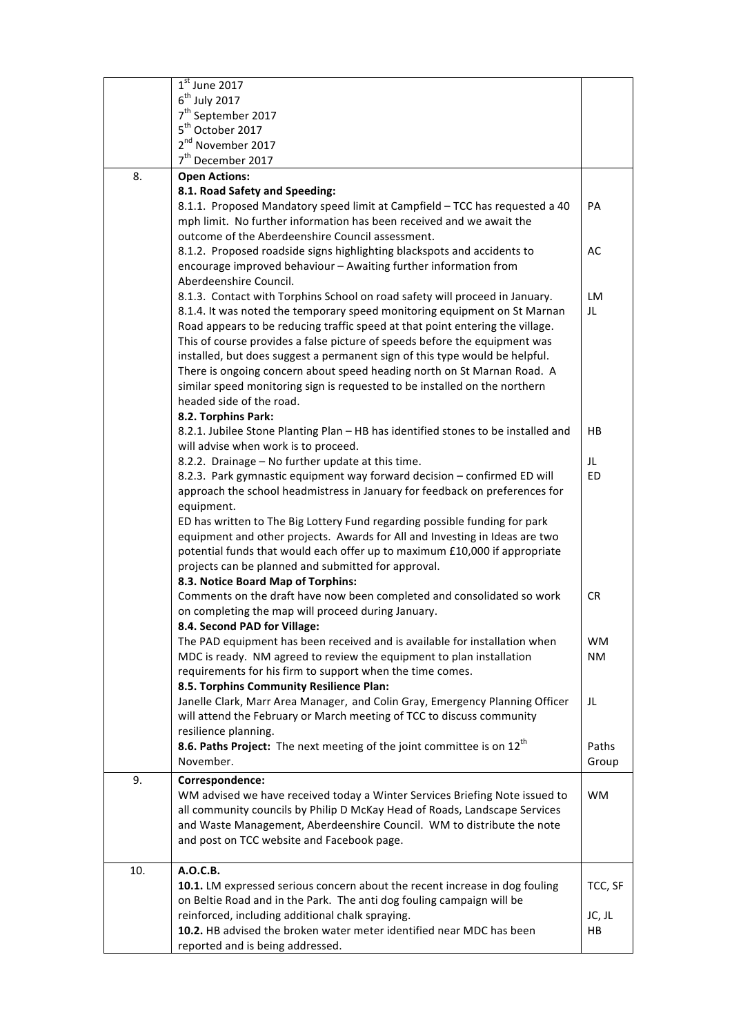|     | $\overline{1}^{\rm st}$ June 2017                                                 |           |
|-----|-----------------------------------------------------------------------------------|-----------|
|     | $6th$ July 2017                                                                   |           |
|     | 7 <sup>th</sup> September 2017                                                    |           |
|     | 5 <sup>th</sup> October 2017                                                      |           |
|     | 2 <sup>nd</sup> November 2017                                                     |           |
|     | 7 <sup>th</sup> December 2017                                                     |           |
| 8.  | <b>Open Actions:</b>                                                              |           |
|     | 8.1. Road Safety and Speeding:                                                    |           |
|     | 8.1.1. Proposed Mandatory speed limit at Campfield - TCC has requested a 40       | PA        |
|     | mph limit. No further information has been received and we await the              |           |
|     | outcome of the Aberdeenshire Council assessment.                                  |           |
|     | 8.1.2. Proposed roadside signs highlighting blackspots and accidents to           | AC        |
|     | encourage improved behaviour - Awaiting further information from                  |           |
|     | Aberdeenshire Council.                                                            |           |
|     | 8.1.3. Contact with Torphins School on road safety will proceed in January.       | <b>LM</b> |
|     | 8.1.4. It was noted the temporary speed monitoring equipment on St Marnan         | JL        |
|     | Road appears to be reducing traffic speed at that point entering the village.     |           |
|     | This of course provides a false picture of speeds before the equipment was        |           |
|     | installed, but does suggest a permanent sign of this type would be helpful.       |           |
|     | There is ongoing concern about speed heading north on St Marnan Road. A           |           |
|     | similar speed monitoring sign is requested to be installed on the northern        |           |
|     | headed side of the road.                                                          |           |
|     | 8.2. Torphins Park:                                                               |           |
|     | 8.2.1. Jubilee Stone Planting Plan - HB has identified stones to be installed and | HB        |
|     | will advise when work is to proceed.                                              |           |
|     | 8.2.2. Drainage - No further update at this time.                                 | JL        |
|     | 8.2.3. Park gymnastic equipment way forward decision - confirmed ED will          | ED        |
|     | approach the school headmistress in January for feedback on preferences for       |           |
|     | equipment.                                                                        |           |
|     | ED has written to The Big Lottery Fund regarding possible funding for park        |           |
|     | equipment and other projects. Awards for All and Investing in Ideas are two       |           |
|     | potential funds that would each offer up to maximum £10,000 if appropriate        |           |
|     | projects can be planned and submitted for approval.                               |           |
|     | 8.3. Notice Board Map of Torphins:                                                |           |
|     | Comments on the draft have now been completed and consolidated so work            | <b>CR</b> |
|     | on completing the map will proceed during January.                                |           |
|     | 8.4. Second PAD for Village:                                                      |           |
|     | The PAD equipment has been received and is available for installation when        | <b>WM</b> |
|     | MDC is ready. NM agreed to review the equipment to plan installation              | <b>NM</b> |
|     | requirements for his firm to support when the time comes.                         |           |
|     | 8.5. Torphins Community Resilience Plan:                                          |           |
|     | Janelle Clark, Marr Area Manager, and Colin Gray, Emergency Planning Officer      | JL        |
|     | will attend the February or March meeting of TCC to discuss community             |           |
|     | resilience planning.                                                              |           |
|     | 8.6. Paths Project: The next meeting of the joint committee is on $12^{th}$       | Paths     |
|     | November.                                                                         | Group     |
| 9.  | Correspondence:                                                                   |           |
|     | WM advised we have received today a Winter Services Briefing Note issued to       | <b>WM</b> |
|     | all community councils by Philip D McKay Head of Roads, Landscape Services        |           |
|     | and Waste Management, Aberdeenshire Council. WM to distribute the note            |           |
|     | and post on TCC website and Facebook page.                                        |           |
| 10. | A.O.C.B.                                                                          |           |
|     | 10.1. LM expressed serious concern about the recent increase in dog fouling       | TCC, SF   |
|     | on Beltie Road and in the Park. The anti dog fouling campaign will be             |           |
|     | reinforced, including additional chalk spraying.                                  | JC, JL    |
|     | 10.2. HB advised the broken water meter identified near MDC has been              | HB        |
|     | reported and is being addressed.                                                  |           |